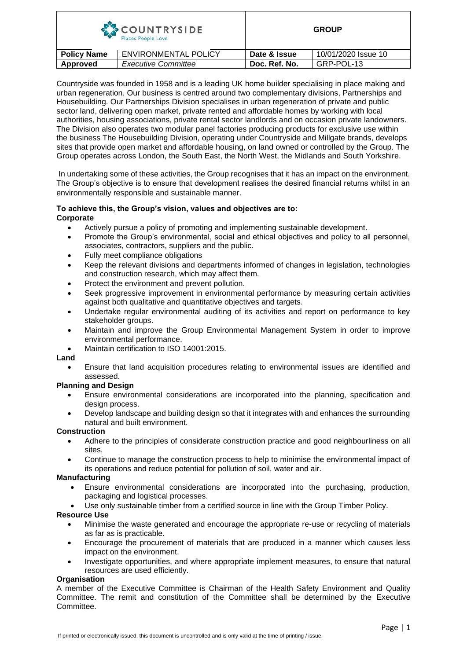| COUNTRYSIDE<br>Places People Love |                            |               | <b>GROUP</b>        |  |
|-----------------------------------|----------------------------|---------------|---------------------|--|
| <b>Policy Name</b>                | ENVIRONMENTAL POLICY       | Date & Issue  | 10/01/2020 Issue 10 |  |
| Approved                          | <b>Executive Committee</b> | Doc. Ref. No. | GRP-POL-13          |  |

Countryside was founded in 1958 and is a leading UK home builder specialising in place making and urban regeneration. Our business is centred around two complementary divisions, Partnerships and Housebuilding. Our Partnerships Division specialises in urban regeneration of private and public sector land, delivering open market, private rented and affordable homes by working with local authorities, housing associations, private rental sector landlords and on occasion private landowners. The Division also operates two modular panel factories producing products for exclusive use within the business The Housebuilding Division, operating under Countryside and Millgate brands, develops sites that provide open market and affordable housing, on land owned or controlled by the Group. The Group operates across London, the South East, the North West, the Midlands and South Yorkshire.

In undertaking some of these activities, the Group recognises that it has an impact on the environment. The Group's objective is to ensure that development realises the desired financial returns whilst in an environmentally responsible and sustainable manner.

### **To achieve this, the Group's vision, values and objectives are to: Corporate**

- Actively pursue a policy of promoting and implementing sustainable development.
- Promote the Group's environmental, social and ethical objectives and policy to all personnel, associates, contractors, suppliers and the public.
- Fully meet compliance obligations
- Keep the relevant divisions and departments informed of changes in legislation, technologies and construction research, which may affect them.
- Protect the environment and prevent pollution.
- Seek progressive improvement in environmental performance by measuring certain activities against both qualitative and quantitative objectives and targets.
- Undertake regular environmental auditing of its activities and report on performance to key stakeholder groups.
- Maintain and improve the Group Environmental Management System in order to improve environmental performance.
- Maintain certification to ISO 14001:2015.

### **Land**

• Ensure that land acquisition procedures relating to environmental issues are identified and assessed.

# **Planning and Design**

- Ensure environmental considerations are incorporated into the planning, specification and design process.
- Develop landscape and building design so that it integrates with and enhances the surrounding natural and built environment.

# **Construction**

- Adhere to the principles of considerate construction practice and good neighbourliness on all sites.
- Continue to manage the construction process to help to minimise the environmental impact of its operations and reduce potential for pollution of soil, water and air.

# **Manufacturing**

- Ensure environmental considerations are incorporated into the purchasing, production, packaging and logistical processes.
- Use only sustainable timber from a certified source in line with the Group Timber Policy*.*

# **Resource Use**

- Minimise the waste generated and encourage the appropriate re-use or recycling of materials as far as is practicable.
- Encourage the procurement of materials that are produced in a manner which causes less impact on the environment.
- Investigate opportunities, and where appropriate implement measures, to ensure that natural resources are used efficiently.

# **Organisation**

A member of the Executive Committee is Chairman of the Health Safety Environment and Quality Committee. The remit and constitution of the Committee shall be determined by the Executive Committee.